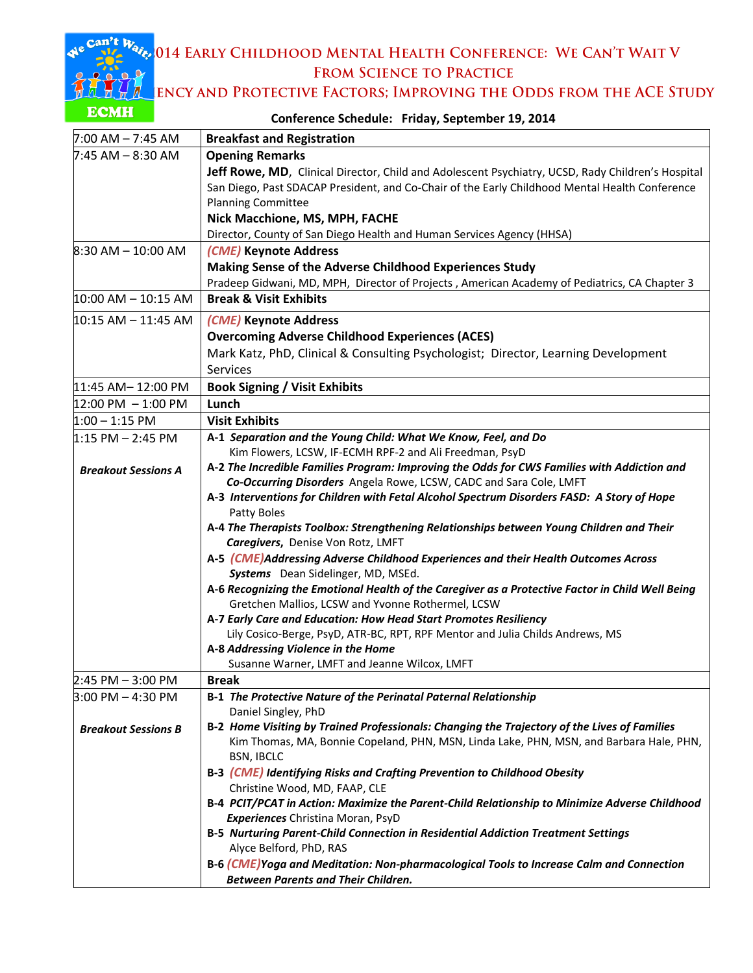م<sup>30</sup>014 Early Childhood Mental Health Conference: We Can't Wait V FROM SCIENCE TO PRACTICE

**ENCY AND PROTECTIVE FACTORS; IMPROVING THE ODDS FROM THE ACE STUDY** 

| LUMH                                 | Conference Schedule: Friday, September 19, 2014                                                   |  |  |
|--------------------------------------|---------------------------------------------------------------------------------------------------|--|--|
| $7:00$ AM $- 7:45$ AM                | <b>Breakfast and Registration</b>                                                                 |  |  |
| 7:45 AM – 8:30 AM                    | <b>Opening Remarks</b>                                                                            |  |  |
|                                      | Jeff Rowe, MD, Clinical Director, Child and Adolescent Psychiatry, UCSD, Rady Children's Hospital |  |  |
|                                      | San Diego, Past SDACAP President, and Co-Chair of the Early Childhood Mental Health Conference    |  |  |
|                                      | <b>Planning Committee</b>                                                                         |  |  |
|                                      | Nick Macchione, MS, MPH, FACHE                                                                    |  |  |
|                                      | Director, County of San Diego Health and Human Services Agency (HHSA)                             |  |  |
| $8:30$ AM $- 10:00$ AM               | (CME) Keynote Address                                                                             |  |  |
|                                      | Making Sense of the Adverse Childhood Experiences Study                                           |  |  |
|                                      | Pradeep Gidwani, MD, MPH, Director of Projects, American Academy of Pediatrics, CA Chapter 3      |  |  |
| $10:00$ AM $- 10:15$ AM              | <b>Break &amp; Visit Exhibits</b>                                                                 |  |  |
| $10:15$ AM $-$ 11:45 AM              | (CME) Keynote Address                                                                             |  |  |
|                                      | <b>Overcoming Adverse Childhood Experiences (ACES)</b>                                            |  |  |
|                                      | Mark Katz, PhD, Clinical & Consulting Psychologist; Director, Learning Development                |  |  |
|                                      | Services                                                                                          |  |  |
| 11:45 AM-12:00 PM                    | <b>Book Signing / Visit Exhibits</b>                                                              |  |  |
| $12:00 \text{ PM} - 1:00 \text{ PM}$ | Lunch                                                                                             |  |  |
| $1:00 - 1:15$ PM                     | <b>Visit Exhibits</b>                                                                             |  |  |
| $1:15$ PM $-$ 2:45 PM                | A-1 Separation and the Young Child: What We Know, Feel, and Do                                    |  |  |
|                                      | Kim Flowers, LCSW, IF-ECMH RPF-2 and Ali Freedman, PsyD                                           |  |  |
|                                      | A-2 The Incredible Families Program: Improving the Odds for CWS Families with Addiction and       |  |  |
| <b>Breakout Sessions A</b>           | Co-Occurring Disorders Angela Rowe, LCSW, CADC and Sara Cole, LMFT                                |  |  |
|                                      | A-3 Interventions for Children with Fetal Alcohol Spectrum Disorders FASD: A Story of Hope        |  |  |
|                                      | Patty Boles                                                                                       |  |  |
|                                      | A-4 The Therapists Toolbox: Strengthening Relationships between Young Children and Their          |  |  |
|                                      | Caregivers, Denise Von Rotz, LMFT                                                                 |  |  |
|                                      | A-5 (CME)Addressing Adverse Childhood Experiences and their Health Outcomes Across                |  |  |
|                                      | Systems Dean Sidelinger, MD, MSEd.                                                                |  |  |
|                                      | A-6 Recognizing the Emotional Health of the Caregiver as a Protective Factor in Child Well Being  |  |  |
|                                      | Gretchen Mallios, LCSW and Yvonne Rothermel, LCSW                                                 |  |  |
|                                      | A-7 Early Care and Education: How Head Start Promotes Resiliency                                  |  |  |
|                                      | Lily Cosico-Berge, PsyD, ATR-BC, RPT, RPF Mentor and Julia Childs Andrews, MS                     |  |  |
|                                      | A-8 Addressing Violence in the Home                                                               |  |  |
|                                      | Susanne Warner, LMFT and Jeanne Wilcox, LMFT                                                      |  |  |
| $2:45$ PM $-3:00$ PM                 | <b>Break</b>                                                                                      |  |  |
| $3:00$ PM $-$ 4:30 PM                | B-1 The Protective Nature of the Perinatal Paternal Relationship<br>Daniel Singley, PhD           |  |  |
|                                      | B-2 Home Visiting by Trained Professionals: Changing the Trajectory of the Lives of Families      |  |  |
| <b>Breakout Sessions B</b>           | Kim Thomas, MA, Bonnie Copeland, PHN, MSN, Linda Lake, PHN, MSN, and Barbara Hale, PHN,           |  |  |
|                                      | <b>BSN, IBCLC</b>                                                                                 |  |  |
|                                      | B-3 (CME) Identifying Risks and Crafting Prevention to Childhood Obesity                          |  |  |
|                                      | Christine Wood, MD, FAAP, CLE                                                                     |  |  |
|                                      | B-4 PCIT/PCAT in Action: Maximize the Parent-Child Relationship to Minimize Adverse Childhood     |  |  |
|                                      | Experiences Christina Moran, PsyD                                                                 |  |  |
|                                      | B-5 Nurturing Parent-Child Connection in Residential Addiction Treatment Settings                 |  |  |
|                                      | Alyce Belford, PhD, RAS                                                                           |  |  |
|                                      | B-6 (CME) Yoga and Meditation: Non-pharmacological Tools to Increase Calm and Connection          |  |  |
|                                      | <b>Between Parents and Their Children.</b>                                                        |  |  |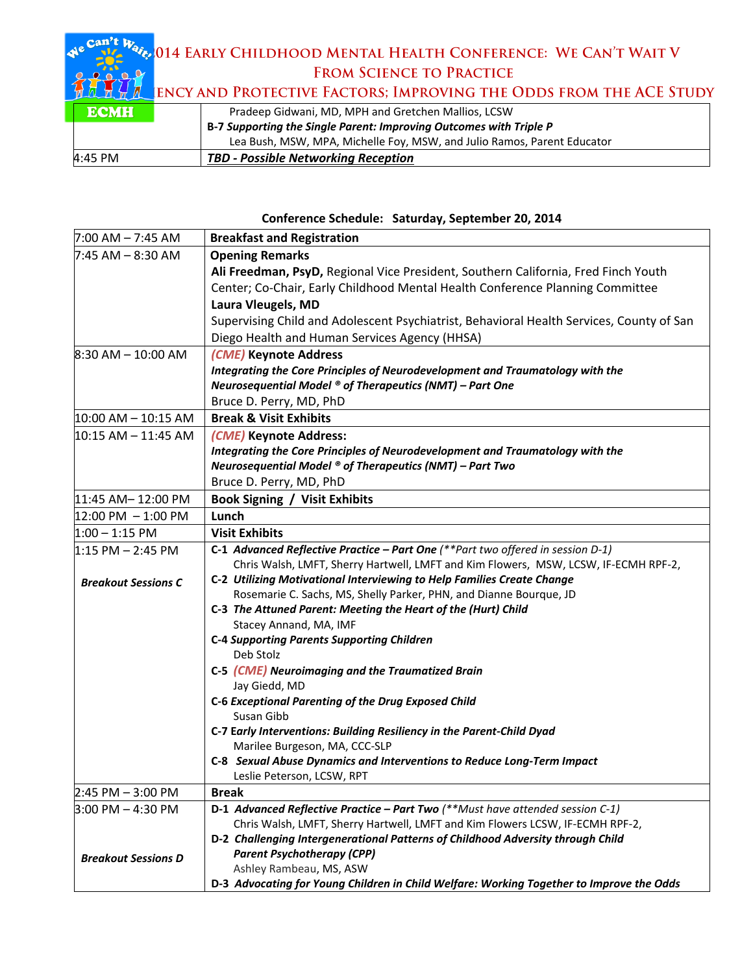## Can't Wake 014 EARLY CHILDHOOD MENTAL HEALTH CONFERENCE: WE CAN'T WAIT V FROM SCIENCE TO PRACTICE  $\mathbf{Q}$  $\bullet$   $\bullet$   $\bullet$ YTT. CTIVE EACTORS: IMPROVING THE ODDS EROM THE ACE STUDY

|             | <b>MULLE TEST AND PROTECTIVE FACTORS; IMPROVING THE ODDS FROM THE ACE STUDY</b> |                                                                         |  |  |  |
|-------------|---------------------------------------------------------------------------------|-------------------------------------------------------------------------|--|--|--|
| <b>ECMH</b> | Pradeep Gidwani, MD, MPH and Gretchen Mallios, LCSW                             |                                                                         |  |  |  |
|             |                                                                                 | B-7 Supporting the Single Parent: Improving Outcomes with Triple P      |  |  |  |
|             |                                                                                 | Lea Bush, MSW, MPA, Michelle Foy, MSW, and Julio Ramos, Parent Educator |  |  |  |
| 4:45 PM     |                                                                                 | <b>TBD - Possible Networking Reception</b>                              |  |  |  |

## **Conference Schedule: Saturday, September 20, 2014**

| $7:00$ AM $- 7:45$ AM                   | <b>Breakfast and Registration</b>                                                                                                                                         |
|-----------------------------------------|---------------------------------------------------------------------------------------------------------------------------------------------------------------------------|
| l7:45 AM – 8:30 AM                      | <b>Opening Remarks</b>                                                                                                                                                    |
|                                         | Ali Freedman, PsyD, Regional Vice President, Southern California, Fred Finch Youth                                                                                        |
|                                         | Center; Co-Chair, Early Childhood Mental Health Conference Planning Committee                                                                                             |
|                                         | Laura Vleugels, MD                                                                                                                                                        |
|                                         | Supervising Child and Adolescent Psychiatrist, Behavioral Health Services, County of San                                                                                  |
|                                         | Diego Health and Human Services Agency (HHSA)                                                                                                                             |
| $8:30$ AM $- 10:00$ AM                  | (CME) Keynote Address                                                                                                                                                     |
|                                         | Integrating the Core Principles of Neurodevelopment and Traumatology with the                                                                                             |
|                                         | Neurosequential Model $\circ$ of Therapeutics (NMT) – Part One                                                                                                            |
|                                         | Bruce D. Perry, MD, PhD                                                                                                                                                   |
| $ 10:00 \text{ AM} - 10:15 \text{ AM} $ | <b>Break &amp; Visit Exhibits</b>                                                                                                                                         |
| 10:15 AM – 11:45 AM                     | (CME) Keynote Address:                                                                                                                                                    |
|                                         | Integrating the Core Principles of Neurodevelopment and Traumatology with the                                                                                             |
|                                         | Neurosequential Model $\circ$ of Therapeutics (NMT) – Part Two                                                                                                            |
|                                         | Bruce D. Perry, MD, PhD                                                                                                                                                   |
| 11:45 AM-12:00 PM                       | <b>Book Signing / Visit Exhibits</b>                                                                                                                                      |
| $12:00 \text{ PM} - 1:00 \text{ PM}$    | Lunch                                                                                                                                                                     |
| $1:00 - 1:15$ PM                        | <b>Visit Exhibits</b>                                                                                                                                                     |
| $1:15$ PM $-$ 2:45 PM                   | C-1 Advanced Reflective Practice - Part One $(**$ Part two offered in session D-1)<br>Chris Walsh, LMFT, Sherry Hartwell, LMFT and Kim Flowers, MSW, LCSW, IF-ECMH RPF-2, |
| <b>Breakout Sessions C</b>              | C-2 Utilizing Motivational Interviewing to Help Families Create Change                                                                                                    |
|                                         | Rosemarie C. Sachs, MS, Shelly Parker, PHN, and Dianne Bourque, JD                                                                                                        |
|                                         | C-3 The Attuned Parent: Meeting the Heart of the (Hurt) Child                                                                                                             |
|                                         | Stacey Annand, MA, IMF                                                                                                                                                    |
|                                         | <b>C-4 Supporting Parents Supporting Children</b>                                                                                                                         |
|                                         | Deb Stolz                                                                                                                                                                 |
|                                         | C-5 (CME) Neuroimaging and the Traumatized Brain                                                                                                                          |
|                                         | Jay Giedd, MD                                                                                                                                                             |
|                                         | C-6 Exceptional Parenting of the Drug Exposed Child                                                                                                                       |
|                                         | Susan Gibb                                                                                                                                                                |
|                                         | C-7 Early Interventions: Building Resiliency in the Parent-Child Dyad<br>Marilee Burgeson, MA, CCC-SLP                                                                    |
|                                         | C-8 Sexual Abuse Dynamics and Interventions to Reduce Long-Term Impact                                                                                                    |
|                                         | Leslie Peterson, LCSW, RPT                                                                                                                                                |
| 2:45 PM - 3:00 PM                       | <b>Break</b>                                                                                                                                                              |
| $3:00$ PM $-$ 4:30 PM                   | D-1 Advanced Reflective Practice - Part Two (**Must have attended session C-1)                                                                                            |
|                                         | Chris Walsh, LMFT, Sherry Hartwell, LMFT and Kim Flowers LCSW, IF-ECMH RPF-2,                                                                                             |
|                                         | D-2 Challenging Intergenerational Patterns of Childhood Adversity through Child                                                                                           |
| <b>Breakout Sessions D</b>              | <b>Parent Psychotherapy (CPP)</b>                                                                                                                                         |
|                                         | Ashley Rambeau, MS, ASW                                                                                                                                                   |
|                                         | D-3 Advocating for Young Children in Child Welfare: Working Together to Improve the Odds                                                                                  |